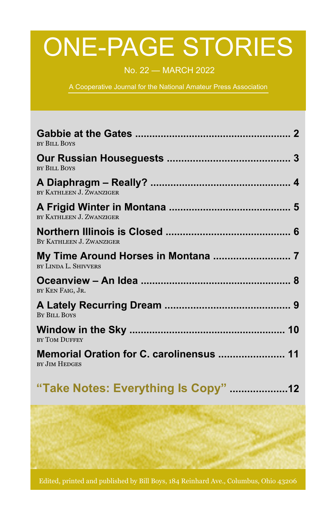# ONE-PAGE STORIES

No. 22 — MARCH 2022

A Cooperative Journal for the National Amateur Press Association

| <b>BY BILL BOYS</b>                                              |
|------------------------------------------------------------------|
| <b>BY BILL BOYS</b>                                              |
| BY KATHLEEN J. ZWANZIGER                                         |
| BY KATHLEEN J. ZWANZIGER                                         |
| BY KATHLEEN J. ZWANZIGER                                         |
| BY LINDA L. SHIVVERS                                             |
| BY KEN FAIG, JR.                                                 |
| <b>BY BILL BOYS</b>                                              |
| BY TOM DUFFEY                                                    |
| Memorial Oration for C. carolinensus  11<br><b>BY JIM HEDGES</b> |

|  | "Take Notes: Everything Is Copy" 12 |  |
|--|-------------------------------------|--|
|  |                                     |  |

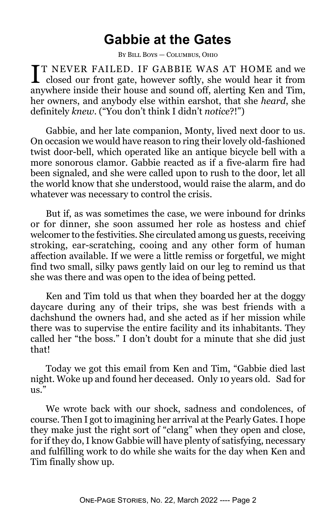#### **Gabbie at the Gates**

By Bill Boys — Columbus, Ohio

**T** I NEVER FAILED. IF GABBIE WAS AT HOME and we closed our front gate, however softly, she would hear it from **TT NEVER FAILED. IF GABBIE WAS AT HOME and we** anywhere inside their house and sound off, alerting Ken and Tim, her owners, and anybody else within earshot, that she *heard*, she definitely *knew*. ("You don't think I didn't *notice*?!")

Gabbie, and her late companion, Monty, lived next door to us. On occasion we would have reason to ring their lovely old-fashioned twist door-bell, which operated like an antique bicycle bell with a more sonorous clamor. Gabbie reacted as if a five-alarm fire had been signaled, and she were called upon to rush to the door, let all the world know that she understood, would raise the alarm, and do whatever was necessary to control the crisis.

But if, as was sometimes the case, we were inbound for drinks or for dinner, she soon assumed her role as hostess and chief welcomer to the festivities. She circulated among us guests, receiving stroking, ear-scratching, cooing and any other form of human affection available. If we were a little remiss or forgetful, we might find two small, silky paws gently laid on our leg to remind us that she was there and was open to the idea of being petted.

Ken and Tim told us that when they boarded her at the doggy daycare during any of their trips, she was best friends with a dachshund the owners had, and she acted as if her mission while there was to supervise the entire facility and its inhabitants. They called her "the boss." I don't doubt for a minute that she did just that!

Today we got this email from Ken and Tim, "Gabbie died last night. Woke up and found her deceased. Only 10 years old. Sad for us."

We wrote back with our shock, sadness and condolences, of course. Then I got to imagining her arrival at the Pearly Gates. I hope they make just the right sort of "clang" when they open and close, for if they do, I know Gabbie will have plenty of satisfying, necessary and fulfilling work to do while she waits for the day when Ken and Tim finally show up.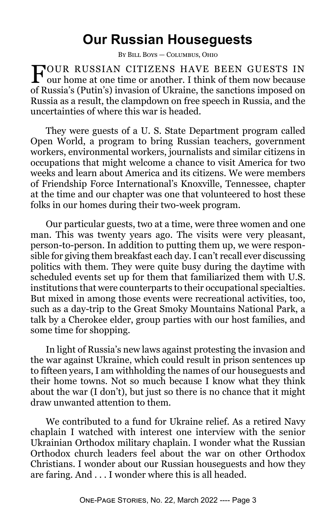#### **Our Russian Houseguests**

By Bill Boys — Columbus, Ohio

FOUR RUSSIAN CITIZENS HAVE BEEN GUESTS IN our home at one time or another. I think of them now because our home at one time or another. I think of them now because of Russia's (Putin's) invasion of Ukraine, the sanctions imposed on Russia as a result, the clampdown on free speech in Russia, and the uncertainties of where this war is headed.

They were guests of a U. S. State Department program called Open World, a program to bring Russian teachers, government workers, environmental workers, journalists and similar citizens in occupations that might welcome a chance to visit America for two weeks and learn about America and its citizens. We were members of Friendship Force International's Knoxville, Tennessee, chapter at the time and our chapter was one that volunteered to host these folks in our homes during their two-week program.

Our particular guests, two at a time, were three women and one man. This was twenty years ago. The visits were very pleasant, person-to-person. In addition to putting them up, we were responsible for giving them breakfast each day. I can't recall ever discussing politics with them. They were quite busy during the daytime with scheduled events set up for them that familiarized them with U.S. institutions that were counterparts to their occupational specialties. But mixed in among those events were recreational activities, too, such as a day-trip to the Great Smoky Mountains National Park, a talk by a Cherokee elder, group parties with our host families, and some time for shopping.

In light of Russia's new laws against protesting the invasion and the war against Ukraine, which could result in prison sentences up to fifteen years, I am withholding the names of our houseguests and their home towns. Not so much because I know what they think about the war (I don't), but just so there is no chance that it might draw unwanted attention to them.

We contributed to a fund for Ukraine relief. As a retired Navy chaplain I watched with interest one interview with the senior Ukrainian Orthodox military chaplain. I wonder what the Russian Orthodox church leaders feel about the war on other Orthodox Christians. I wonder about our Russian houseguests and how they are faring. And . . . I wonder where this is all headed.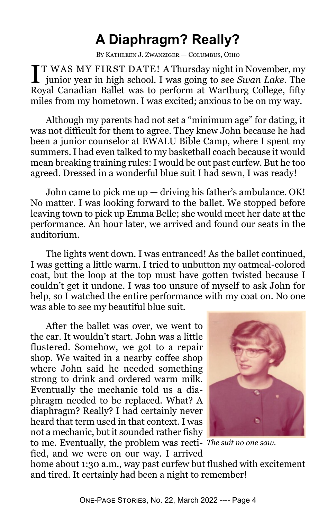# **A Diaphragm? Really?**

By Kathleen J. Zwanziger — Columbus, Ohio

**I**T WAS MY FIRST DATE! A Thursday night in November, my junior year in high school. I was going to see *Swan Lake*. The T WAS MY FIRST DATE! A Thursday night in November, my Royal Canadian Ballet was to perform at Wartburg College, fifty miles from my hometown. I was excited; anxious to be on my way.

Although my parents had not set a "minimum age" for dating, it was not difficult for them to agree. They knew John because he had been a junior counselor at EWALU Bible Camp, where I spent my summers. I had even talked to my basketball coach because it would mean breaking training rules: I would be out past curfew. But he too agreed. Dressed in a wonderful blue suit I had sewn, I was ready!

John came to pick me  $up$  — driving his father's ambulance. OK! No matter. I was looking forward to the ballet. We stopped before leaving town to pick up Emma Belle; she would meet her date at the performance. An hour later, we arrived and found our seats in the auditorium.

The lights went down. I was entranced! As the ballet continued, I was getting a little warm. I tried to unbutton my oatmeal-colored coat, but the loop at the top must have gotten twisted because I couldn't get it undone. I was too unsure of myself to ask John for help, so I watched the entire performance with my coat on. No one was able to see my beautiful blue suit.

After the ballet was over, we went to the car. It wouldn't start. John was a little flustered. Somehow, we got to a repair shop. We waited in a nearby coffee shop where John said he needed something strong to drink and ordered warm milk. Eventually the mechanic told us a diaphragm needed to be replaced. What? A diaphragm? Really? I had certainly never heard that term used in that context. I was not a mechanic, but it sounded rather fishy

fied, and we were on our way. I arrived



to me. Eventually, the problem was recti-*The suit no one saw.*

home about 1:30 a.m., way past curfew but flushed with excitement and tired. It certainly had been a night to remember!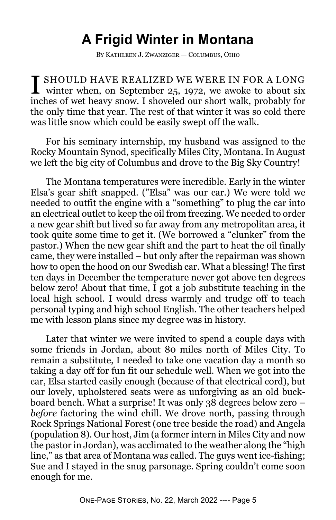# **A Frigid Winter in Montana**

By Kathleen J. Zwanziger — Columbus, Ohio

**I** SHOULD HAVE REALIZED WE WERE IN FOR A LONG<br>winter when, on September 25, 1972, we awoke to about six  $\blacksquare$  winter when, on September 25, 1972, we awoke to about six inches of wet heavy snow. I shoveled our short walk, probably for the only time that year. The rest of that winter it was so cold there was little snow which could be easily swept off the walk.

For his seminary internship, my husband was assigned to the Rocky Mountain Synod, specifically Miles City, Montana. In August we left the big city of Columbus and drove to the Big Sky Country!

The Montana temperatures were incredible. Early in the winter Elsa's gear shift snapped. ("Elsa" was our car.) We were told we needed to outfit the engine with a "something" to plug the car into an electrical outlet to keep the oil from freezing. We needed to order a new gear shift but lived so far away from any metropolitan area, it took quite some time to get it. (We borrowed a "clunker" from the pastor.) When the new gear shift and the part to heat the oil finally came, they were installed – but only after the repairman was shown how to open the hood on our Swedish car. What a blessing! The first ten days in December the temperature never got above ten degrees below zero! About that time, I got a job substitute teaching in the local high school. I would dress warmly and trudge off to teach personal typing and high school English. The other teachers helped me with lesson plans since my degree was in history.

Later that winter we were invited to spend a couple days with some friends in Jordan, about 80 miles north of Miles City. To remain a substitute, I needed to take one vacation day a month so taking a day off for fun fit our schedule well. When we got into the car, Elsa started easily enough (because of that electrical cord), but our lovely, upholstered seats were as unforgiving as an old buckboard bench. What a surprise! It was only 38 degrees below zero – *before* factoring the wind chill. We drove north, passing through Rock Springs National Forest (one tree beside the road) and Angela (population 8). Our host, Jim (a former intern in Miles City and now the pastor in Jordan), was acclimated to the weather along the "high line," as that area of Montana was called. The guys went ice-fishing; Sue and I stayed in the snug parsonage. Spring couldn't come soon enough for me.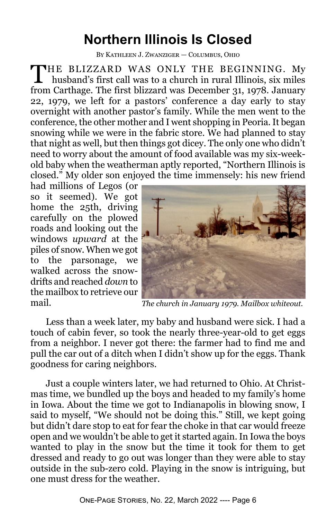## **Northern Illinois Is Closed**

By Kathleen J. Zwanziger — Columbus, Ohio

T HE BLIZZARD WAS ONLY THE BEGINNING. My husband's first call was to a church in rural Illinois, six miles from Carthage. The first blizzard was December 31, 1978. January 22, 1979, we left for a pastors' conference a day early to stay overnight with another pastor's family. While the men went to the conference, the other mother and I went shopping in Peoria. It began snowing while we were in the fabric store. We had planned to stay that night as well, but then things got dicey. The only one who didn't need to worry about the amount of food available was my six-weekold baby when the weatherman aptly reported, "Northern Illinois is closed." My older son enjoyed the time immensely: his new friend

had millions of Legos (or so it seemed). We got home the 25th, driving carefully on the plowed roads and looking out the windows *upward* at the piles of snow. When we got to the parsonage, we walked across the snowdrifts and reached *down* to the mailbox to retrieve our mail.



*The church in January 1979. Mailbox whiteout.*

Less than a week later, my baby and husband were sick. I had a touch of cabin fever, so took the nearly three-year-old to get eggs from a neighbor. I never got there: the farmer had to find me and pull the car out of a ditch when I didn't show up for the eggs. Thank goodness for caring neighbors.

Just a couple winters later, we had returned to Ohio. At Christmas time, we bundled up the boys and headed to my family's home in Iowa. About the time we got to Indianapolis in blowing snow, I said to myself, "We should not be doing this." Still, we kept going but didn't dare stop to eat for fear the choke in that car would freeze open and we wouldn't be able to get it started again. In Iowa the boys wanted to play in the snow but the time it took for them to get dressed and ready to go out was longer than they were able to stay outside in the sub-zero cold. Playing in the snow is intriguing, but one must dress for the weather.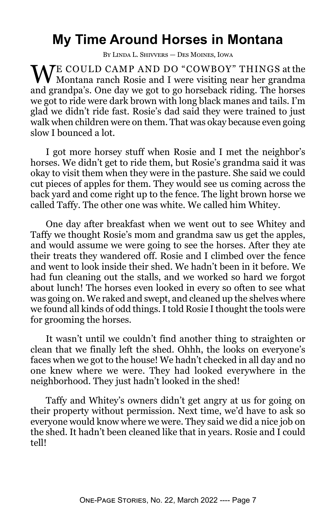## **My Time Around Horses in Montana**

By Linda L. Shivvers — Des Moines, Iowa

WE COULD CAMP AND DO "COWBOY" THINGS at the Montana ranch Rosie and I were visiting near her grandma and grandpa's. One day we got to go horseback riding. The horses we got to ride were dark brown with long black manes and tails. I'm glad we didn't ride fast. Rosie's dad said they were trained to just walk when children were on them. That was okay because even going slow I bounced a lot.

I got more horsey stuff when Rosie and I met the neighbor's horses. We didn't get to ride them, but Rosie's grandma said it was okay to visit them when they were in the pasture. She said we could cut pieces of apples for them. They would see us coming across the back yard and come right up to the fence. The light brown horse we called Taffy. The other one was white. We called him Whitey.

One day after breakfast when we went out to see Whitey and Taffy we thought Rosie's mom and grandma saw us get the apples, and would assume we were going to see the horses. After they ate their treats they wandered off. Rosie and I climbed over the fence and went to look inside their shed. We hadn't been in it before. We had fun cleaning out the stalls, and we worked so hard we forgot about lunch! The horses even looked in every so often to see what was going on. We raked and swept, and cleaned up the shelves where we found all kinds of odd things. I told Rosie I thought the tools were for grooming the horses.

It wasn't until we couldn't find another thing to straighten or clean that we finally left the shed. Ohhh, the looks on everyone's faces when we got to the house! We hadn't checked in all day and no one knew where we were. They had looked everywhere in the neighborhood. They just hadn't looked in the shed!

Taffy and Whitey's owners didn't get angry at us for going on their property without permission. Next time, we'd have to ask so everyone would know where we were. They said we did a nice job on the shed. It hadn't been cleaned like that in years. Rosie and I could tell!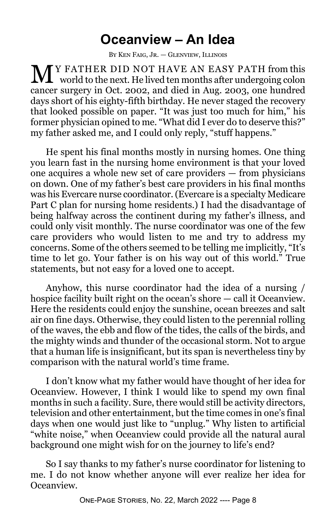#### **Oceanview – An Idea**

By Ken Faig, Jr. — Glenview, Illinois

**M** Y FATHER DID NOT HAVE AN EASY PATH from this world to the next. He lived ten months after undergoing colon cancer surgery in Oct. 2002, and died in Aug. 2003, one hundred days short of his eighty-fifth birthday. He never staged the recovery that looked possible on paper. "It was just too much for him," his former physician opined to me. "What did I ever do to deserve this?" my father asked me, and I could only reply, "stuff happens."

He spent his final months mostly in nursing homes. One thing you learn fast in the nursing home environment is that your loved one acquires a whole new set of care providers — from physicians on down. One of my father's best care providers in his final months was his Evercare nurse coordinator. (Evercare is a specialty Medicare Part C plan for nursing home residents.) I had the disadvantage of being halfway across the continent during my father's illness, and could only visit monthly. The nurse coordinator was one of the few care providers who would listen to me and try to address my concerns. Some of the others seemed to be telling me implicitly, "It's time to let go. Your father is on his way out of this world." True statements, but not easy for a loved one to accept.

Anyhow, this nurse coordinator had the idea of a nursing / hospice facility built right on the ocean's shore — call it Oceanview. Here the residents could enjoy the sunshine, ocean breezes and salt air on fine days. Otherwise, they could listen to the perennial rolling of the waves, the ebb and flow of the tides, the calls of the birds, and the mighty winds and thunder of the occasional storm. Not to argue that a human life is insignificant, but its span is nevertheless tiny by comparison with the natural world's time frame.

I don't know what my father would have thought of her idea for Oceanview. However, I think I would like to spend my own final months in such a facility. Sure, there would still be activity directors, television and other entertainment, but the time comes in one's final days when one would just like to "unplug." Why listen to artificial "white noise," when Oceanview could provide all the natural aural background one might wish for on the journey to life's end?

So I say thanks to my father's nurse coordinator for listening to me. I do not know whether anyone will ever realize her idea for Oceanview.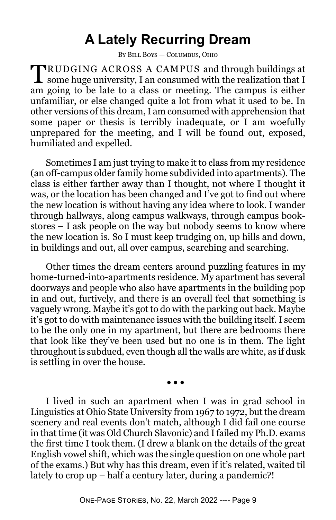#### **A Lately Recurring Dream**

By Bill Boys — Columbus, Ohio

TRUDGING ACROSS A CAMPUS and through buildings at some huge university, I an consumed with the realization that I RUDGING ACROSS A CAMPUS and through buildings at am going to be late to a class or meeting. The campus is either unfamiliar, or else changed quite a lot from what it used to be. In other versions of this dream, I am consumed with apprehension that some paper or thesis is terribly inadequate, or I am woefully unprepared for the meeting, and I will be found out, exposed, humiliated and expelled.

Sometimes I am just trying to make it to class from my residence (an off-campus older family home subdivided into apartments). The class is either farther away than I thought, not where I thought it was, or the location has been changed and I've got to find out where the new location is without having any idea where to look. I wander through hallways, along campus walkways, through campus bookstores – I ask people on the way but nobody seems to know where the new location is. So I must keep trudging on, up hills and down, in buildings and out, all over campus, searching and searching.

Other times the dream centers around puzzling features in my home-turned-into-apartments residence. My apartment has several doorways and people who also have apartments in the building pop in and out, furtively, and there is an overall feel that something is vaguely wrong. Maybe it's got to do with the parking out back. Maybe it's got to do with maintenance issues with the building itself. I seem to be the only one in my apartment, but there are bedrooms there that look like they've been used but no one is in them. The light throughout is subdued, even though all the walls are white, as if dusk is settling in over the house.

 $\bullet$   $\bullet$ 

I lived in such an apartment when I was in grad school in Linguistics at Ohio State University from 1967 to 1972, but the dream scenery and real events don't match, although I did fail one course in that time (it was Old Church Slavonic) and I failed my Ph.D. exams the first time I took them. (I drew a blank on the details of the great English vowel shift, which was the single question on one whole part of the exams.) But why has this dream, even if it's related, waited til lately to crop up – half a century later, during a pandemic?!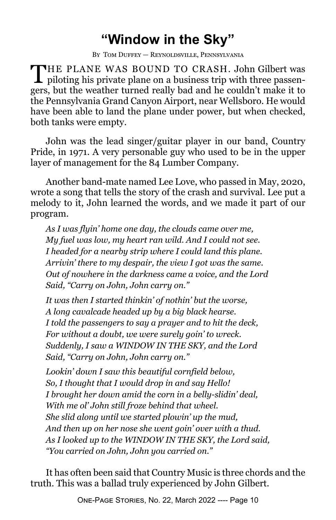## **"Window in the Sky"**

By Tom Duffey — Reynoldsville, Pennsylvania

THE PLANE WAS BOUND TO CRASH. John Gilbert was<br>piloting his private plane on a business trip with three passen-THE PLANE WAS BOUND TO CRASH. John Gilbert was gers, but the weather turned really bad and he couldn't make it to the Pennsylvania Grand Canyon Airport, near Wellsboro. He would have been able to land the plane under power, but when checked, both tanks were empty.

John was the lead singer/guitar player in our band, Country Pride, in 1971. A very personable guy who used to be in the upper layer of management for the 84 Lumber Company.

Another band-mate named Lee Love, who passed in May, 2020, wrote a song that tells the story of the crash and survival. Lee put a melody to it, John learned the words, and we made it part of our program.

*As I was flyin' home one day, the clouds came over me, My fuel was low, my heart ran wild. And I could not see. I headed for a nearby strip where I could land this plane. Arrivin' there to my despair, the view I got was the same. Out of nowhere in the darkness came a voice, and the Lord Said, "Carry on John, John carry on."*

*It was then I started thinkin' of nothin' but the worse, A long cavalcade headed up by a big black hearse. I told the passengers to say a prayer and to hit the deck, For without a doubt, we were surely goin' to wreck. Suddenly, I saw a WINDOW IN THE SKY, and the Lord Said, "Carry on John, John carry on."*

*Lookin' down I saw this beautiful cornfield below, So, I thought that I would drop in and say Hello! I brought her down amid the corn in a belly-slidin' deal, With me ol' John still froze behind that wheel. She slid along until we started plowin' up the mud, And then up on her nose she went goin' over with a thud. As I looked up to the WINDOW IN THE SKY, the Lord said, "You carried on John, John you carried on."*

It has often been said that Country Music is three chords and the truth. This was a ballad truly experienced by John Gilbert.

One-Page Stories, No. 22, March 2022 ---- Page 10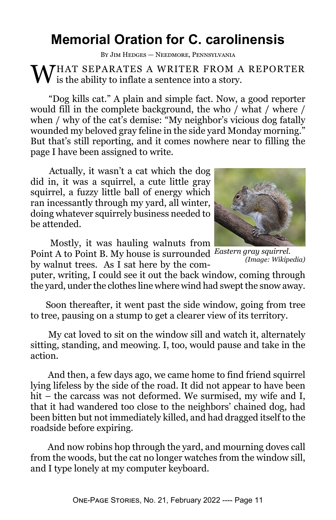## **Memorial Oration for C. carolinensis**

By Jim Hedges — Needmore, Pennsylvania

 $\mathbf W$ HAT SEPARATES A WRITER FROM A REPORTER is the ability to inflate a sentence into a story.

 "Dog kills cat." A plain and simple fact. Now, a good reporter would fill in the complete background, the who / what / where / when / why of the cat's demise: "My neighbor's vicious dog fatally wounded my beloved gray feline in the side yard Monday morning." But that's still reporting, and it comes nowhere near to filling the page I have been assigned to write.

 Actually, it wasn't a cat which the dog did in, it was a squirrel, a cute little gray squirrel, a fuzzy little ball of energy which ran incessantly through my yard, all winter, doing whatever squirrely business needed to be attended.

 Mostly, it was hauling walnuts from Point A to Point B. My house is surrounded *Eastern gray squirrel.*

by walnut trees. As I sat here by the com-

puter, writing, I could see it out the back window, coming through the yard, under the clothes line where wind had swept the snow away.

Soon thereafter, it went past the side window, going from tree to tree, pausing on a stump to get a clearer view of its territory.

 My cat loved to sit on the window sill and watch it, alternately sitting, standing, and meowing. I, too, would pause and take in the action.

 And then, a few days ago, we came home to find friend squirrel lying lifeless by the side of the road. It did not appear to have been hit – the carcass was not deformed. We surmised, my wife and I, that it had wandered too close to the neighbors' chained dog, had been bitten but not immediately killed, and had dragged itself to the roadside before expiring.

 And now robins hop through the yard, and mourning doves call from the woods, but the cat no longer watches from the window sill, and I type lonely at my computer keyboard.

*(Image: Wikipedia)*